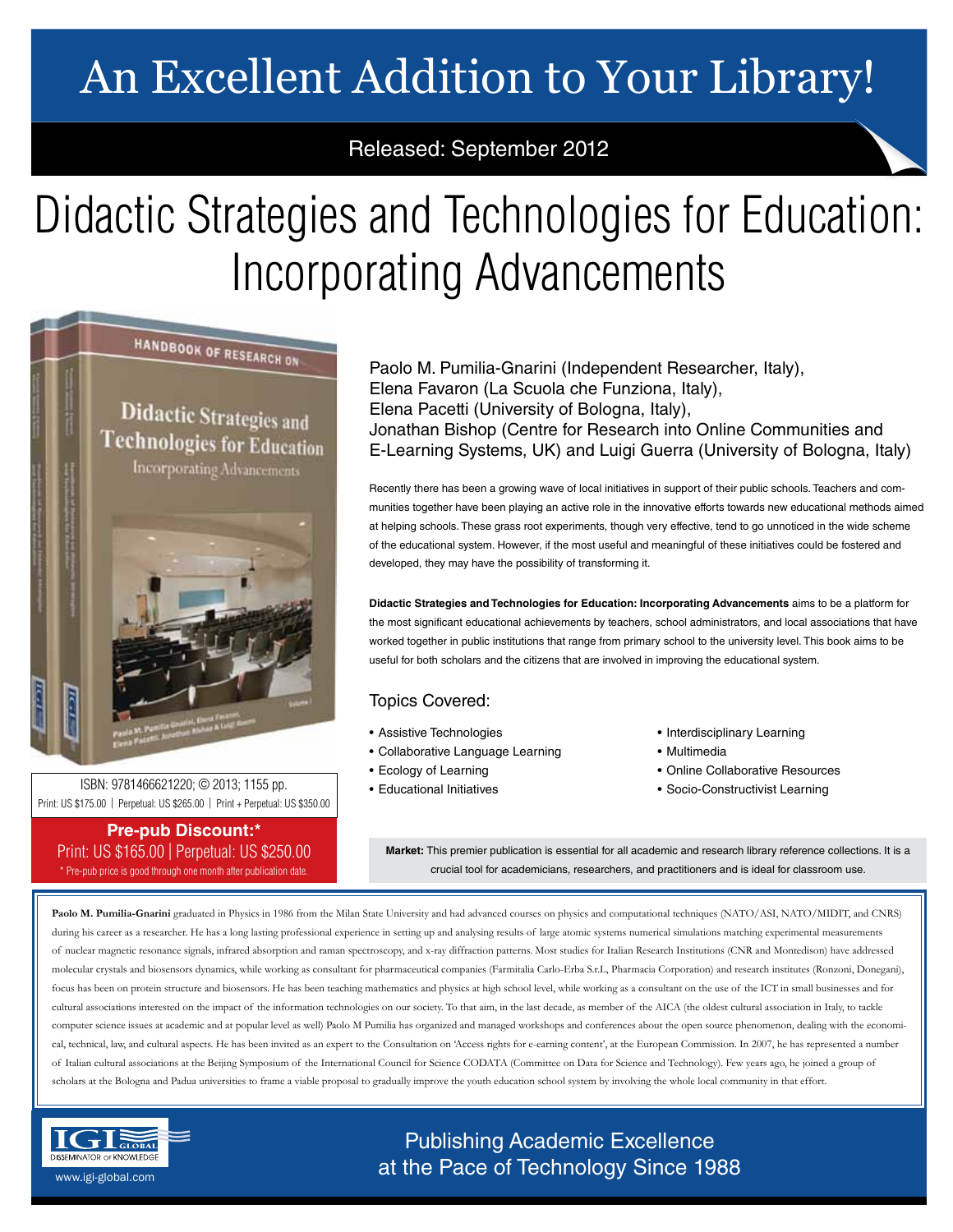# An Excellent Addition to Your Library!

## Released: September 2012

# Didactic Strategies and Technologies for Education: Incorporating Advancements

HANDBOOK OF RESEARCH ON

**Didactic Strategies and Technologies for Education Incorporating Advancements** 



• Socio-Constructivist Learning ISBN: 9781466621220; © 2013; 1155 pp. Print: US \$175.00 | Perpetual: US \$265.00 | Print + Perpetual: US \$350.00

### **Pre-pub Discount:\*** Print: US \$165.00 | Perpetual: US \$250.00 \* Pre-pub price is good through one month after publication date.

Paolo M. Pumilia-Gnarini (Independent Researcher, Italy), Elena Favaron (La Scuola che Funziona, Italy), Elena Pacetti (University of Bologna, Italy), Jonathan Bishop (Centre for Research into Online Communities and E-Learning Systems, UK) and Luigi Guerra (University of Bologna, Italy)

Recently there has been a growing wave of local initiatives in support of their public schools. Teachers and communities together have been playing an active role in the innovative efforts towards new educational methods aimed at helping schools. These grass root experiments, though very effective, tend to go unnoticed in the wide scheme of the educational system. However, if the most useful and meaningful of these initiatives could be fostered and developed, they may have the possibility of transforming it.

**Didactic Strategies and Technologies for Education: Incorporating Advancements** aims to be a platform for the most significant educational achievements by teachers, school administrators, and local associations that have worked together in public institutions that range from primary school to the university level. This book aims to be useful for both scholars and the citizens that are involved in improving the educational system.

## Topics Covered:

- Assistive Technologies
- Collaborative Language Learning
- Ecology of Learning
- Educational Initiatives
- Interdisciplinary Learning
- Multimedia
- Online Collaborative Resources
- 

**Market:** This premier publication is essential for all academic and research library reference collections. It is a crucial tool for academicians, researchers, and practitioners and is ideal for classroom use.

Paolo M. Pumilia-Gnarini graduated in Physics in 1986 from the Milan State University and had advanced courses on physics and computational techniques (NATO/ASI, NATO/MIDIT, and CNRS) during his career as a researcher. He has a long lasting professional experience in setting up and analysing results of large atomic systems numerical simulations matching experimental measurements of nuclear magnetic resonance signals, infrared absorption and raman spectroscopy, and x-ray diffraction patterns. Most studies for Italian Research Institutions (CNR and Montedison) have addressed molecular crystals and biosensors dynamics, while working as consultant for pharmaceutical companies (Farmitalia Carlo-Erba S.r.L, Pharmacia Corporation) and research institutes (Ronzoni, Donegani), focus has been on protein structure and biosensors. He has been teaching mathematics and physics at high school level, while working as a consultant on the use of the ICT in small businesses and for cultural associations interested on the impact of the information technologies on our society. To that aim, in the last decade, as member of the AICA (the oldest cultural association in Italy, to tackle computer science issues at academic and at popular level as well) Paolo M Pumilia has organized and managed workshops and conferences about the open source phenomenon, dealing with the economical, technical, law, and cultural aspects. He has been invited as an expert to the Consultation on 'Access rights for e-earning content', at the European Commission. In 2007, he has represented a number of Italian cultural associations at the Beijing Symposium of the International Council for Science CODATA (Committee on Data for Science and Technology). Few years ago, he joined a group of scholars at the Bologna and Padua universities to frame a viable proposal to gradually improve the youth education school system by involving the whole local community in that effort.



Publishing Academic Excellence **ALSEMINATOR OF KNOWLEDGE CONCEDUTE CONCEDUTE CONCEDUTE CONCEDUTE CONCEDUTE CONCEDUTE CONCEDUTE CONCEDUTE CONCE**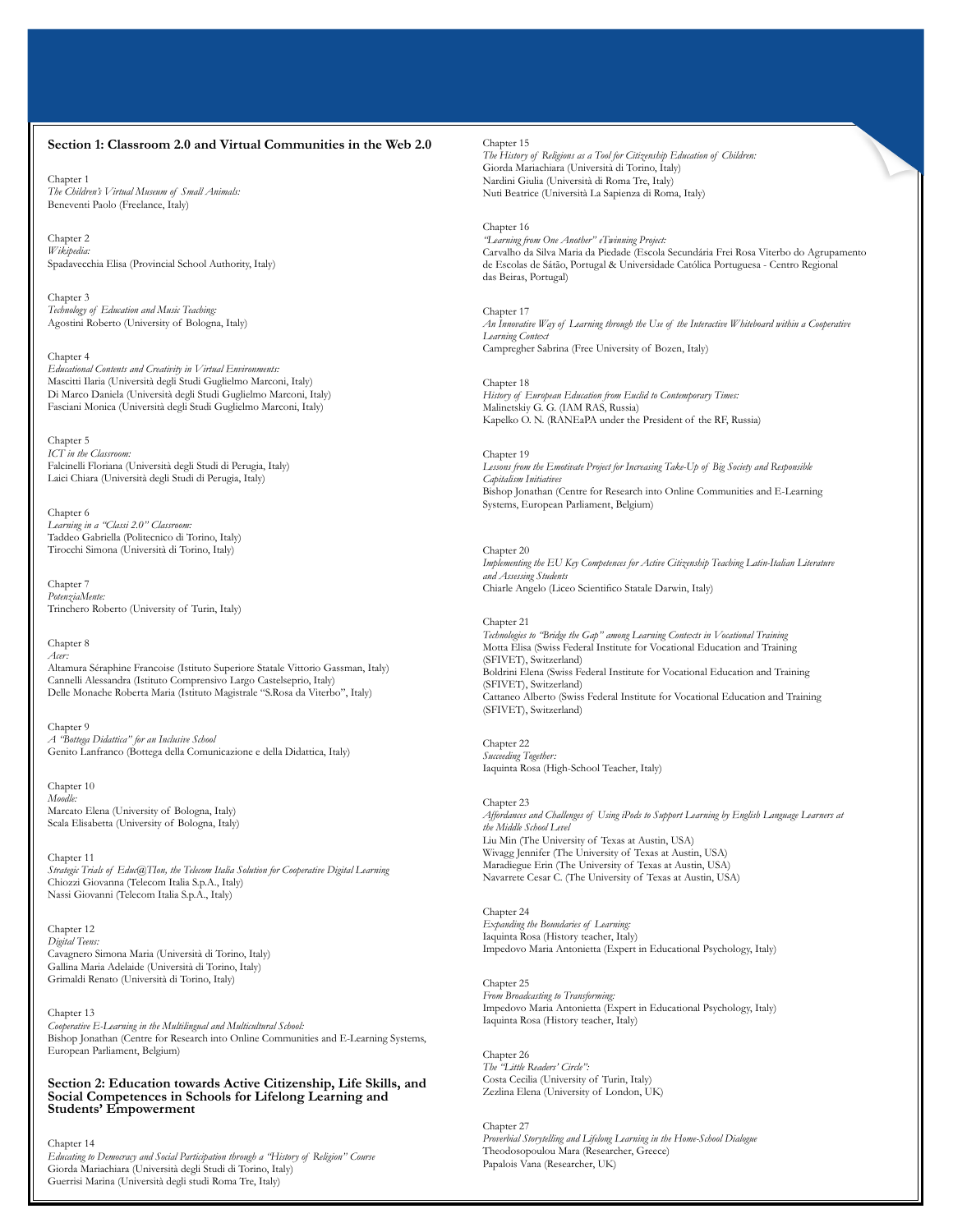#### **Section 1: Classroom 2.0 and Virtual Communities in the Web 2.0**

Chapter 1 *The Children's Virtual Museum of Small Animals:* Beneventi Paolo (Freelance, Italy)

Chapter 2 *Wikipedia:* Spadavecchia Elisa (Provincial School Authority, Italy)

Chapter 3 *Technology of Education and Music Teaching:* Agostini Roberto (University of Bologna, Italy)

#### Chapter 4

*Educational Contents and Creativity in Virtual Environments:* Mascitti Ilaria (Università degli Studi Guglielmo Marconi, Italy) Di Marco Daniela (Università degli Studi Guglielmo Marconi, Italy) Fasciani Monica (Università degli Studi Guglielmo Marconi, Italy)

Chapter 5

*ICT in the Classroom:* Falcinelli Floriana (Università degli Studi di Perugia, Italy) Laici Chiara (Università degli Studi di Perugia, Italy)

Chapter 6 *Learning in a "Classi 2.0" Classroom:* Taddeo Gabriella (Politecnico di Torino, Italy) Tirocchi Simona (Università di Torino, Italy)

Chapter 7 *PotenziaMente:* Trinchero Roberto (University of Turin, Italy)

#### Chapter 8 *Acer:*

Altamura Séraphine Francoise (Istituto Superiore Statale Vittorio Gassman, Italy) Cannelli Alessandra (Istituto Comprensivo Largo Castelseprio, Italy) Delle Monache Roberta Maria (Istituto Magistrale "S.Rosa da Viterbo", Italy)

Chapter 9 *A "Bottega Didattica" for an Inclusive School* Genito Lanfranco (Bottega della Comunicazione e della Didattica, Italy)

Chapter 10 *Moodle:* Marcato Elena (University of Bologna, Italy) Scala Elisabetta (University of Bologna, Italy)

Chapter 11 *Strategic Trials of Educ@TIon, the Telecom Italia Solution for Cooperative Digital Learning* Chiozzi Giovanna (Telecom Italia S.p.A., Italy) Nassi Giovanni (Telecom Italia S.p.A., Italy)

Chapter 12 *Digital Teens:* Cavagnero Simona Maria (Università di Torino, Italy) Gallina Maria Adelaide (Università di Torino, Italy) Grimaldi Renato (Università di Torino, Italy)

Chapter 13 *Cooperative E-Learning in the Multilingual and Multicultural School:* Bishop Jonathan (Centre for Research into Online Communities and E-Learning Systems, European Parliament, Belgium)

#### **Section 2: Education towards Active Citizenship, Life Skills, and Social Competences in Schools for Lifelong Learning and Students' Empowerment**

Chapter 14

*Educating to Democracy and Social Participation through a "History of Religion" Course* Giorda Mariachiara (Università degli Studi di Torino, Italy) Guerrisi Marina (Università degli studi Roma Tre, Italy)

Chapter 15

*The History of Religions as a Tool for Citizenship Education of Children:* Giorda Mariachiara (Università di Torino, Italy) Nardini Giulia (Università di Roma Tre, Italy) Nuti Beatrice (Università La Sapienza di Roma, Italy)

Chapter 16 *"Learning from One Another" eTwinning Project:* Carvalho da Silva Maria da Piedade (Escola Secundária Frei Rosa Viterbo do Agrupamento de Escolas de Sátão, Portugal & Universidade Católica Portuguesa - Centro Regional das Beiras, Portugal)

Chapter 17 *An Innovative Way of Learning through the Use of the Interactive Whiteboard within a Cooperative Learning Context* Campregher Sabrina (Free University of Bozen, Italy)

Chapter 18 *History of European Education from Euclid to Contemporary Times:* Malinetskiy G. G. (IAM RAS, Russia) Kapelko O. N. (RANEaPA under the President of the RF, Russia)

Chapter 19 Lessons from the Emotivate Project for Increasing Take-Up of Big Society and Responsible *Capitalism Initiatives* Bishop Jonathan (Centre for Research into Online Communities and E-Learning Systems, European Parliament, Belgium)

Chapter 20 *Implementing the EU Key Competences for Active Citizenship Teaching Latin-Italian Literature and Assessing Students* Chiarle Angelo (Liceo Scientifico Statale Darwin, Italy)

#### Chapter 21

*Technologies to "Bridge the Gap" among Learning Contexts in Vocational Training* Motta Elisa (Swiss Federal Institute for Vocational Education and Training (SFIVET), Switzerland) Boldrini Elena (Swiss Federal Institute for Vocational Education and Training (SFIVET), Switzerland) Cattaneo Alberto (Swiss Federal Institute for Vocational Education and Training (SFIVET), Switzerland)

Chapter 22 *Succeeding Together:* Iaquinta Rosa (High-School Teacher, Italy)

#### Chapter 23

*Affordances and Challenges of Using iPods to Support Learning by English Language Learners at the Middle School Level* Liu Min (The University of Texas at Austin, USA) Wivagg Jennifer (The University of Texas at Austin, USA) Maradiegue Erin (The University of Texas at Austin, USA) Navarrete Cesar C. (The University of Texas at Austin, USA)

Chapter 24 *Expanding the Boundaries of Learning:* Iaquinta Rosa (History teacher, Italy) Impedovo Maria Antonietta (Expert in Educational Psychology, Italy)

Chapter 25 *From Broadcasting to Transforming:* Impedovo Maria Antonietta (Expert in Educational Psychology, Italy) Iaquinta Rosa (History teacher, Italy)

Chapter 26 *The "Little Readers' Circle":* Costa Cecilia (University of Turin, Italy) Zezlina Elena (University of London, UK)

Chapter 27 *Proverbial Storytelling and Lifelong Learning in the Home-School Dialogue* Theodosopoulou Mara (Researcher, Greece) Papalois Vana (Researcher, UK)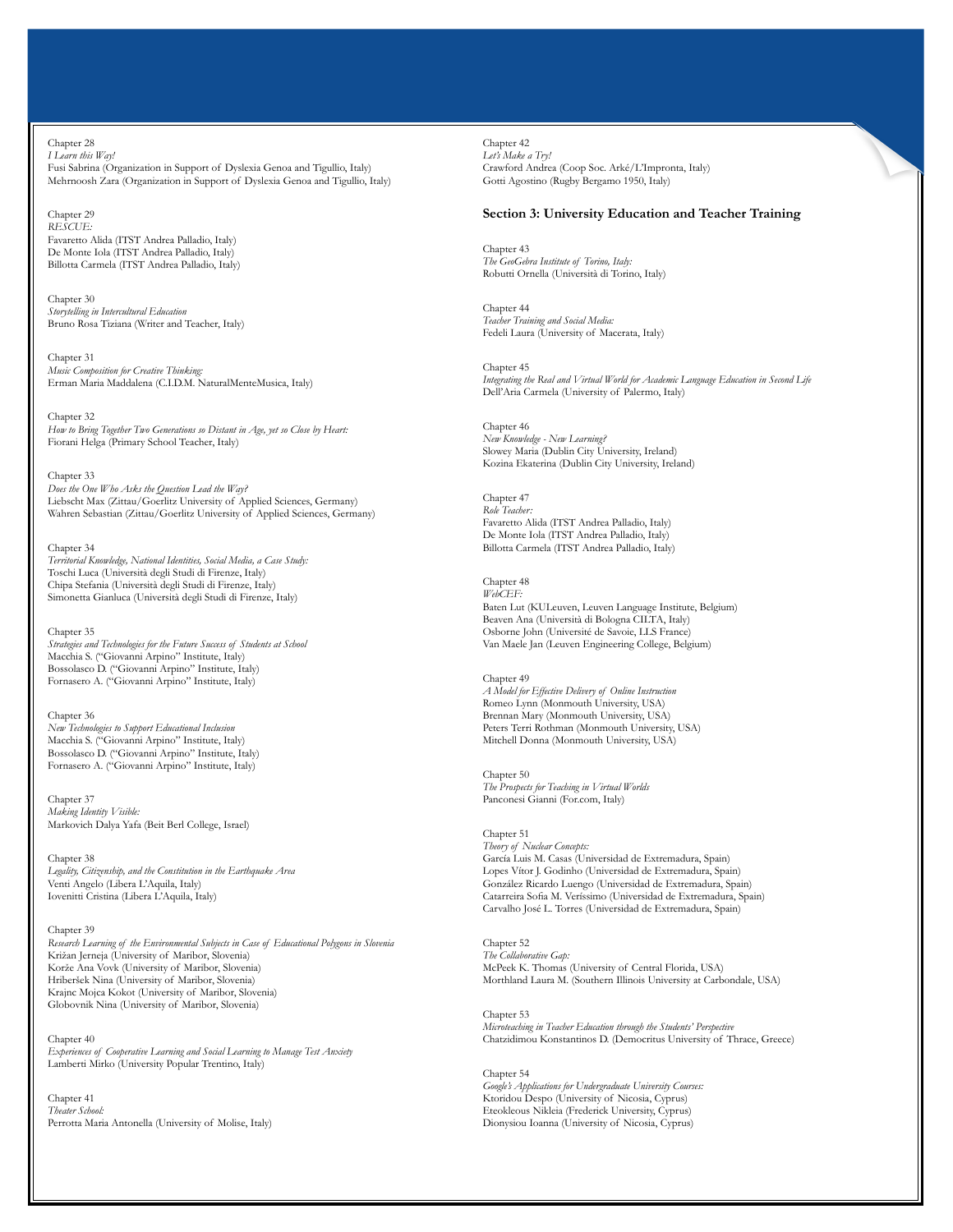Chapter 28

*I Learn this Way!* Fusi Sabrina (Organization in Support of Dyslexia Genoa and Tigullio, Italy) Mehrnoosh Zara (Organization in Support of Dyslexia Genoa and Tigullio, Italy)

#### Chapter 29

*RESCUE:* Favaretto Alida (ITST Andrea Palladio, Italy) De Monte Iola (ITST Andrea Palladio, Italy) Billotta Carmela (ITST Andrea Palladio, Italy)

Chapter 30 *Storytelling in Intercultural Education* Bruno Rosa Tiziana (Writer and Teacher, Italy)

Chapter 31 *Music Composition for Creative Thinking:* Erman Maria Maddalena (C.I.D.M. NaturalMenteMusica, Italy)

Chapter 32 *How to Bring Together Two Generations so Distant in Age, yet so Close by Heart:* Fiorani Helga (Primary School Teacher, Italy)

Chapter 33 *Does the One Who Asks the Question Lead the Way?* Liebscht Max (Zittau/Goerlitz University of Applied Sciences, Germany) Wahren Sebastian (Zittau/Goerlitz University of Applied Sciences, Germany)

Chapter 34 *Territorial Knowledge, National Identities, Social Media, a Case Study:* Toschi Luca (Università degli Studi di Firenze, Italy) Chipa Stefania (Università degli Studi di Firenze, Italy) Simonetta Gianluca (Università degli Studi di Firenze, Italy)

Chapter 35 *Strategies and Technologies for the Future Success of Students at School* Macchia S. ("Giovanni Arpino" Institute, Italy) Bossolasco D. ("Giovanni Arpino" Institute, Italy) Fornasero A. ("Giovanni Arpino" Institute, Italy)

Chapter 36 *New Technologies to Support Educational Inclusion* Macchia S. ("Giovanni Arpino" Institute, Italy) Bossolasco D. ("Giovanni Arpino" Institute, Italy) Fornasero A. ("Giovanni Arpino" Institute, Italy)

Chapter 37 *Making Identity Visible:* Markovich Dalya Yafa (Beit Berl College, Israel)

Chapter 38 *Legality, Citizenship, and the Constitution in the Earthquake Area* Venti Angelo (Libera L'Aquila, Italy) Iovenitti Cristina (Libera L'Aquila, Italy)

Chapter 39 *Research Learning of the Environmental Subjects in Case of Educational Polygons in Slovenia* Križan Jerneja (University of Maribor, Slovenia) Korže Ana Vovk (University of Maribor, Slovenia) Hriberšek Nina (University of Maribor, Slovenia) Krajnc Mojca Kokot (University of Maribor, Slovenia) Globovnik Nina (University of Maribor, Slovenia)

Chapter 40 *Experiences of Cooperative Learning and Social Learning to Manage Test Anxiety* Lamberti Mirko (University Popular Trentino, Italy)

Chapter 41 *Theater School:* Perrotta Maria Antonella (University of Molise, Italy) Chapter 42 *Let's Make a Try!* Crawford Andrea (Coop Soc. Arké/L'Impronta, Italy) Gotti Agostino (Rugby Bergamo 1950, Italy)

### **Section 3: University Education and Teacher Training**

Chapter 43 *The GeoGebra Institute of Torino, Italy:* Robutti Ornella (Università di Torino, Italy)

Chapter 44 *Teacher Training and Social Media:* Fedeli Laura (University of Macerata, Italy)

Chapter 45 *Integrating the Real and Virtual World for Academic Language Education in Second Life* Dell'Aria Carmela (University of Palermo, Italy)

Chapter 46 *New Knowledge - New Learning?* Slowey Maria (Dublin City University, Ireland) Kozina Ekaterina (Dublin City University, Ireland)

Chapter 47 *Role Teacher:* Favaretto Alida (ITST Andrea Palladio, Italy) De Monte Iola (ITST Andrea Palladio, Italy) Billotta Carmela (ITST Andrea Palladio, Italy)

Chapter 48 *WebCEF:* Baten Lut (KULeuven, Leuven Language Institute, Belgium) Beaven Ana (Università di Bologna CILTA, Italy) Osborne John (Université de Savoie, LLS France) Van Maele Jan (Leuven Engineering College, Belgium)

Chapter 49 *A Model for Effective Delivery of Online Instruction* Romeo Lynn (Monmouth University, USA) Brennan Mary (Monmouth University, USA) Peters Terri Rothman (Monmouth University, USA) Mitchell Donna (Monmouth University, USA)

Chapter 50 *The Prospects for Teaching in Virtual Worlds* Panconesi Gianni (For.com, Italy)

Chapter 51 *Theory of Nuclear Concepts:* García Luis M. Casas (Universidad de Extremadura, Spain) Lopes Vítor J. Godinho (Universidad de Extremadura, Spain) González Ricardo Luengo (Universidad de Extremadura, Spain) Catarreira Sofia M. Veríssimo (Universidad de Extremadura, Spain) Carvalho José L. Torres (Universidad de Extremadura, Spain)

Chapter 52 *The Collaborative Gap:* McPeek K. Thomas (University of Central Florida, USA) Morthland Laura M. (Southern Illinois University at Carbondale, USA)

Chapter 53 *Microteaching in Teacher Education through the Students' Perspective* Chatzidimou Konstantinos D. (Democritus University of Thrace, Greece)

Chapter 54 *Google's Applications for Undergraduate University Courses:* Ktoridou Despo (University of Nicosia, Cyprus) Eteokleous Nikleia (Frederick University, Cyprus) Dionysiou Ioanna (University of Nicosia, Cyprus)